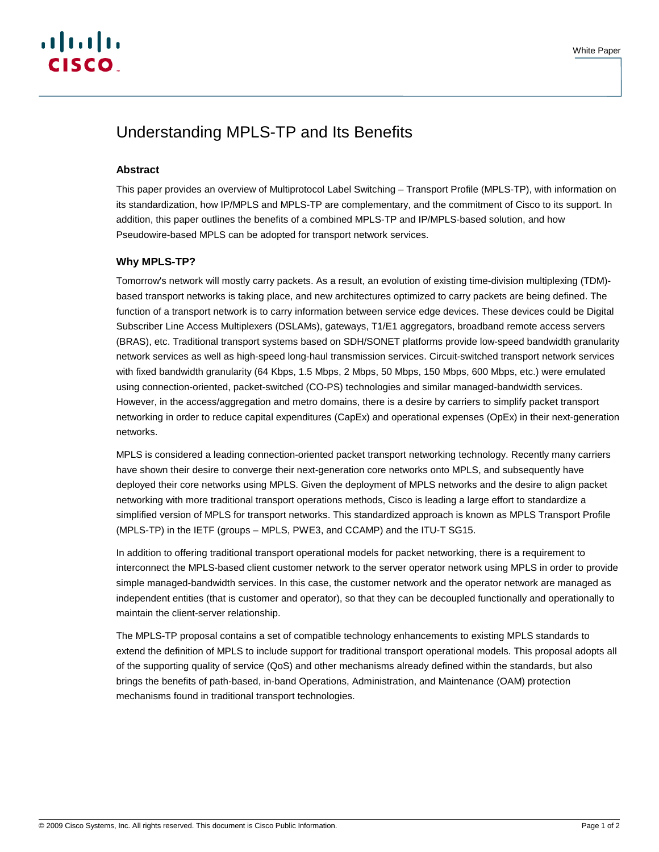# Understanding MPLS-TP and Its Benefits

# **Abstract**

This paper provides an overview of Multiprotocol Label Switching – Transport Profile (MPLS-TP), with information on its standardization, how IP/MPLS and MPLS-TP are complementary, and the commitment of Cisco to its support. In addition, this paper outlines the benefits of a combined MPLS-TP and IP/MPLS-based solution, and how Pseudowire-based MPLS can be adopted for transport network services.

## **Why MPLS-TP?**

Tomorrow's network will mostly carry packets. As a result, an evolution of existing time-division multiplexing (TDM) based transport networks is taking place, and new architectures optimized to carry packets are being defined. The function of a transport network is to carry information between service edge devices. These devices could be Digital Subscriber Line Access Multiplexers (DSLAMs), gateways, T1/E1 aggregators, broadband remote access servers (BRAS), etc. Traditional transport systems based on SDH/SONET platforms provide low-speed bandwidth granularity network services as well as high-speed long-haul transmission services. Circuit-switched transport network services with fixed bandwidth granularity (64 Kbps, 1.5 Mbps, 2 Mbps, 50 Mbps, 150 Mbps, 600 Mbps, etc.) were emulated using connection-oriented, packet-switched (CO-PS) technologies and similar managed-bandwidth services. However, in the access/aggregation and metro domains, there is a desire by carriers to simplify packet transport networking in order to reduce capital expenditures (CapEx) and operational expenses (OpEx) in their next-generation networks.

MPLS is considered a leading connection-oriented packet transport networking technology. Recently many carriers have shown their desire to converge their next-generation core networks onto MPLS, and subsequently have deployed their core networks using MPLS. Given the deployment of MPLS networks and the desire to align packet networking with more traditional transport operations methods, Cisco is leading a large effort to standardize a simplified version of MPLS for transport networks. This standardized approach is known as MPLS Transport Profile (MPLS-TP) in the IETF (groups – MPLS, PWE3, and CCAMP) and the ITU-T SG15.

In addition to offering traditional transport operational models for packet networking, there is a requirement to interconnect the MPLS-based client customer network to the server operator network using MPLS in order to provide simple managed-bandwidth services. In this case, the customer network and the operator network are managed as independent entities (that is customer and operator), so that they can be decoupled functionally and operationally to maintain the client-server relationship.

The MPLS-TP proposal contains a set of compatible technology enhancements to existing MPLS standards to extend the definition of MPLS to include support for traditional transport operational models. This proposal adopts all of the supporting quality of service (QoS) and other mechanisms already defined within the standards, but also brings the benefits of path-based, in-band Operations, Administration, and Maintenance (OAM) protection mechanisms found in traditional transport technologies.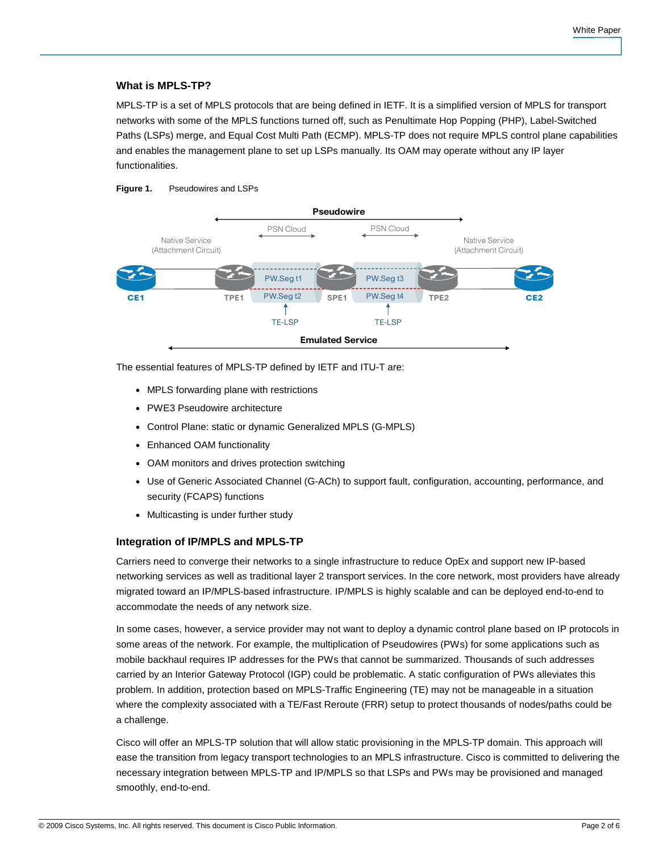# **What is MPLS-TP?**

MPLS-TP is a set of MPLS protocols that are being defined in IETF. It is a simplified version of MPLS for transport networks with some of the MPLS functions turned off, such as Penultimate Hop Popping (PHP), Label-Switched Paths (LSPs) merge, and Equal Cost Multi Path (ECMP). MPLS-TP does not require MPLS control plane capabilities and enables the management plane to set up LSPs manually. Its OAM may operate without any IP layer functionalities.

#### **Figure 1.** Pseudowires and LSPs



The essential features of MPLS-TP defined by IETF and ITU-T are:

- MPLS forwarding plane with restrictions
- PWE3 Pseudowire architecture
- Control Plane: static or dynamic Generalized MPLS (G-MPLS)
- Enhanced OAM functionality
- OAM monitors and drives protection switching
- Use of Generic Associated Channel (G-ACh) to support fault, configuration, accounting, performance, and security (FCAPS) functions
- Multicasting is under further study

## **Integration of IP/MPLS and MPLS-TP**

Carriers need to converge their networks to a single infrastructure to reduce OpEx and support new IP-based networking services as well as traditional layer 2 transport services. In the core network, most providers have already migrated toward an IP/MPLS-based infrastructure. IP/MPLS is highly scalable and can be deployed end-to-end to accommodate the needs of any network size.

In some cases, however, a service provider may not want to deploy a dynamic control plane based on IP protocols in some areas of the network. For example, the multiplication of Pseudowires (PWs) for some applications such as mobile backhaul requires IP addresses for the PWs that cannot be summarized. Thousands of such addresses carried by an Interior Gateway Protocol (IGP) could be problematic. A static configuration of PWs alleviates this problem. In addition, protection based on MPLS-Traffic Engineering (TE) may not be manageable in a situation where the complexity associated with a TE/Fast Reroute (FRR) setup to protect thousands of nodes/paths could be a challenge.

Cisco will offer an MPLS-TP solution that will allow static provisioning in the MPLS-TP domain. This approach will ease the transition from legacy transport technologies to an MPLS infrastructure. Cisco is committed to delivering the necessary integration between MPLS-TP and IP/MPLS so that LSPs and PWs may be provisioned and managed smoothly, end-to-end.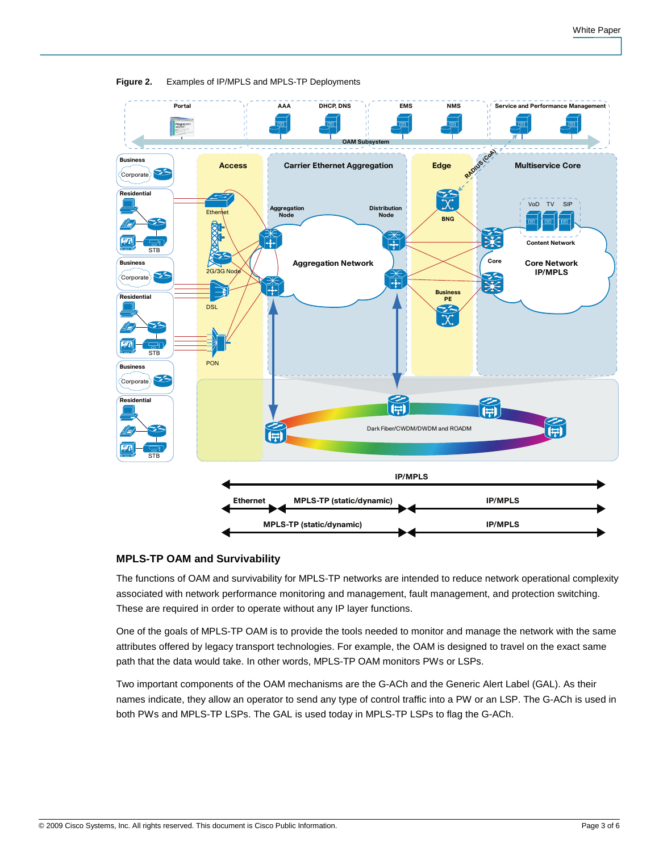

**Figure 2.** Examples of IP/MPLS and MPLS-TP Deployments

## **MPLS-TP OAM and Survivability**

The functions of OAM and survivability for MPLS-TP networks are intended to reduce network operational complexity associated with network performance monitoring and management, fault management, and protection switching. These are required in order to operate without any IP layer functions.

One of the goals of MPLS-TP OAM is to provide the tools needed to monitor and manage the network with the same attributes offered by legacy transport technologies. For example, the OAM is designed to travel on the exact same path that the data would take. In other words, MPLS-TP OAM monitors PWs or LSPs.

Two important components of the OAM mechanisms are the G-ACh and the Generic Alert Label (GAL). As their names indicate, they allow an operator to send any type of control traffic into a PW or an LSP. The G-ACh is used in both PWs and MPLS-TP LSPs. The GAL is used today in MPLS-TP LSPs to flag the G-ACh.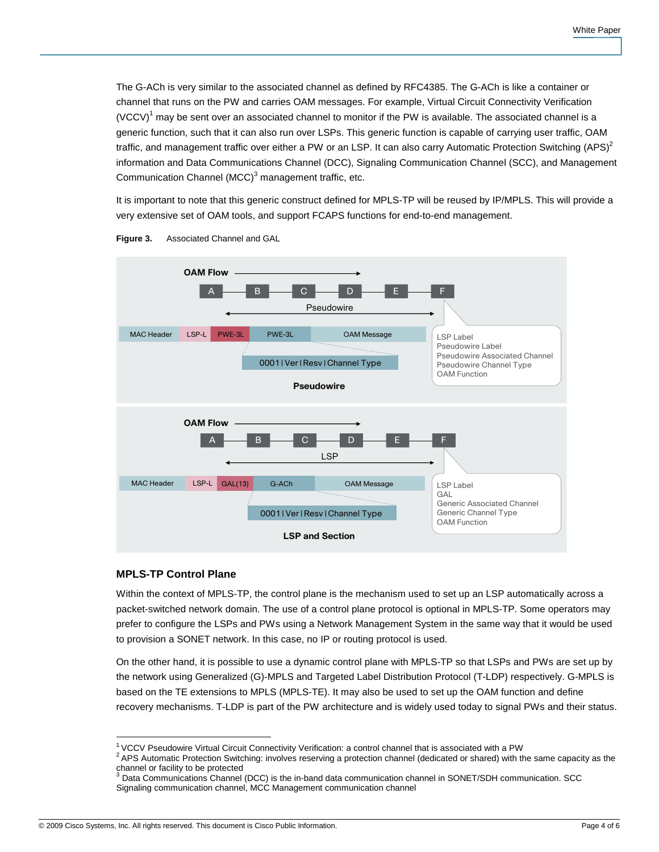The G-ACh is very similar to the associated channel as defined by RFC4385. The G-ACh is like a container or channel that runs on the PW and carries OAM messages. For example, Virtual Circuit Connectivity Verification (VCCV)<sup>1</sup> may be sent over an associated channel to monitor if the PW is available. The associated channel is a generic function, such that it can also run over LSPs. This generic function is capable of carrying user traffic, OAM traffic, and management traffic over either a PW or an LSP. It can also carry Automatic Protection Switching (APS)<sup>2</sup> information and Data Communications Channel (DCC), Signaling Communication Channel (SCC), and Management Communication Channel  $(MCC)^3$  management traffic, etc.

It is important to note that this generic construct defined for MPLS-TP will be reused by IP/MPLS. This will provide a very extensive set of OAM tools, and support FCAPS functions for end-to-end management.





## **MPLS-TP Control Plane**

Within the context of MPLS-TP, the control plane is the mechanism used to set up an LSP automatically across a packet-switched network domain. The use of a control plane protocol is optional in MPLS-TP. Some operators may prefer to configure the LSPs and PWs using a Network Management System in the same way that it would be used to provision a SONET network. In this case, no IP or routing protocol is used.

On the other hand, it is possible to use a dynamic control plane with MPLS-TP so that LSPs and PWs are set up by the network using Generalized (G)-MPLS and Targeted Label Distribution Protocol (T-LDP) respectively. G-MPLS is based on the TE extensions to MPLS (MPLS-TE). It may also be used to set up the OAM function and define recovery mechanisms. T-LDP is part of the PW architecture and is widely used today to signal PWs and their status.

 $\overline{\phantom{a}}$ <sup>1</sup>VCCV Pseudowire Virtual Circuit Connectivity Verification: a control channel that is associated with a PW

 $2$  APS Automatic Protection Switching: involves reserving a protection channel (dedicated or shared) with the same capacity as the channel or facility to be protected<br><sup>3</sup> Dete Communications Channel

Data Communications Channel (DCC) is the in-band data communication channel in SONET/SDH communication. SCC Signaling communication channel, MCC Management communication channel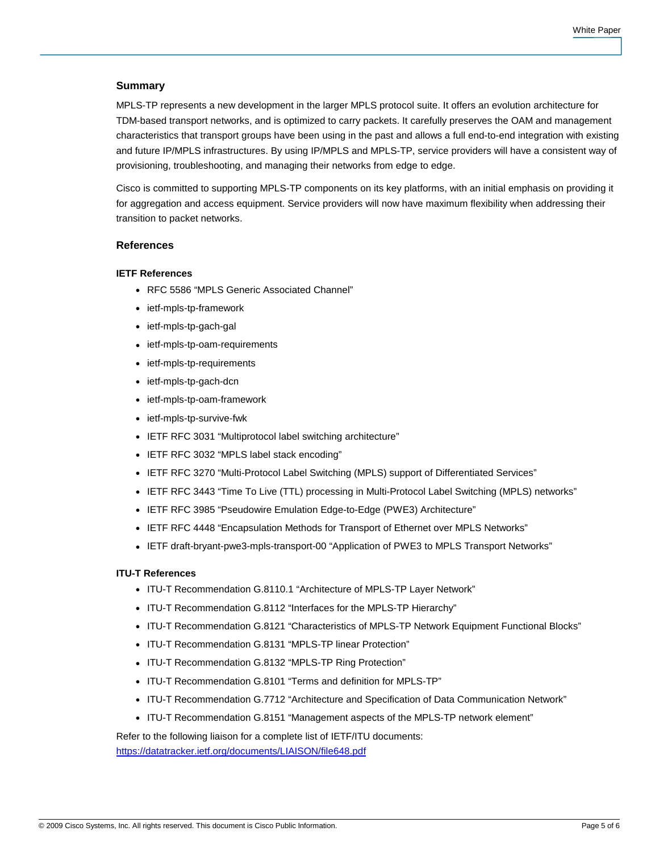## **Summary**

MPLS-TP represents a new development in the larger MPLS protocol suite. It offers an evolution architecture for TDM-based transport networks, and is optimized to carry packets. It carefully preserves the OAM and management characteristics that transport groups have been using in the past and allows a full end-to-end integration with existing and future IP/MPLS infrastructures. By using IP/MPLS and MPLS-TP, service providers will have a consistent way of provisioning, troubleshooting, and managing their networks from edge to edge.

Cisco is committed to supporting MPLS-TP components on its key platforms, with an initial emphasis on providing it for aggregation and access equipment. Service providers will now have maximum flexibility when addressing their transition to packet networks.

#### **References**

#### **IETF References**

- RFC 5586 "MPLS Generic Associated Channel"
- ietf-mpls-tp-framework
- ietf-mpls-tp-gach-gal
- ietf-mpls-tp-oam-requirements
- ietf-mpls-tp-requirements
- ietf-mpls-tp-gach-dcn
- ietf-mpls-tp-oam-framework
- ietf-mpls-tp-survive-fwk
- IETF RFC 3031 "Multiprotocol label switching architecture"
- IETF RFC 3032 "MPLS label stack encoding"
- IETF RFC 3270 "Multi-Protocol Label Switching (MPLS) support of Differentiated Services"
- IETF RFC 3443 "Time To Live (TTL) processing in Multi-Protocol Label Switching (MPLS) networks"
- IETF RFC 3985 "Pseudowire Emulation Edge-to-Edge (PWE3) Architecture"
- IETF RFC 4448 "Encapsulation Methods for Transport of Ethernet over MPLS Networks"
- IETF draft-bryant-pwe3-mpls-transport-00 "Application of PWE3 to MPLS Transport Networks"

#### **ITU-T References**

- ITU-T Recommendation G.8110.1 "Architecture of MPLS-TP Layer Network"
- ITU-T Recommendation G.8112 "Interfaces for the MPLS-TP Hierarchy"
- ITU-T Recommendation G.8121 "Characteristics of MPLS-TP Network Equipment Functional Blocks"
- ITU-T Recommendation G.8131 "MPLS-TP linear Protection"
- ITU-T Recommendation G.8132 "MPLS-TP Ring Protection"
- ITU-T Recommendation G.8101 "Terms and definition for MPLS-TP"
- ITU-T Recommendation G.7712 "Architecture and Specification of Data Communication Network"
- ITU-T Recommendation G.8151 "Management aspects of the MPLS-TP network element"

Refer to the following liaison for a complete list of IETF/ITU documents:

<https://datatracker.ietf.org/documents/LIAISON/file648.pdf>